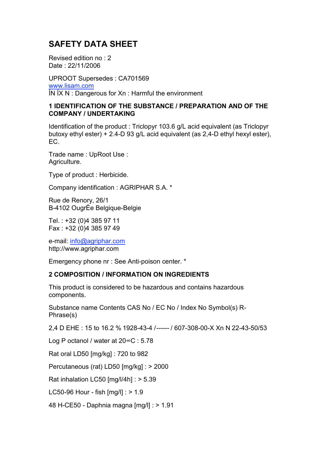# **SAFETY DATA SHEET**

Revised edition no : 2 Date : 22/11/2006

UPROOT Supersedes : CA701569 [www.lisam.com](http://www.lisam.com/) ÍN ÍX N : Dangerous for Xn : Harmful the environment

#### **1 IDENTIFICATION OF THE SUBSTANCE / PREPARATION AND OF THE COMPANY / UNDERTAKING**

Identification of the product : Triclopyr 103.6 g/L acid equivalent (as Triclopyr butoxy ethyl ester) + 2.4-D 93 g/L acid equivalent (as 2,4-D ethyl hexyl ester), EC.

Trade name : UpRoot Use : Agriculture.

Type of product : Herbicide.

Company identification : AGRIPHAR S.A. \*

Rue de Renory, 26/1 B-4102 OugrÈe Belgique-Belgie

Tel. : +32 (0)4 385 97 11 Fax : +32 (0)4 385 97 49

e-mail: [info@agriphar.com](mailto:info@agriphar.com) [http://www.agriphar.com](http://www.agriphar.com/)

Emergency phone nr : See Anti-poison center. \*

#### **2 COMPOSITION / INFORMATION ON INGREDIENTS**

This product is considered to be hazardous and contains hazardous components.

Substance name Contents CAS No / EC No / Index No Symbol(s) R-Phrase(s)

2,4 D EHE : 15 to 16.2 % 1928-43-4 /------ / 607-308-00-X Xn N 22-43-50/53

Log P octanol / water at 20∞C : 5.78

Rat oral LD50 [mg/kg] : 720 to 982

Percutaneous (rat) LD50 [mg/kg] : > 2000

Rat inhalation LC50 [mg/l/4h] : > 5.39

LC50-96 Hour - fish [mg/l] : > 1.9

48 H-CE50 - Daphnia magna [mg/l] : > 1.91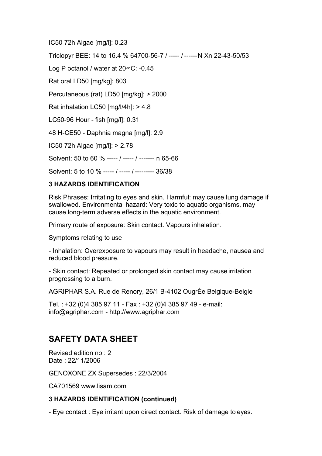IC50 72h Algae [mg/l]: 0.23

Triclopyr BEE: 14 to 16.4 % 64700-56-7 / ----- / ------N Xn 22-43-50/53

Log P octanol / water at 20∞C: -0.45

Rat oral LD50 [mg/kg]: 803

Percutaneous (rat) LD50 [mg/kg]: > 2000

Rat inhalation LC50 [mg/l/4h]: > 4.8

LC50-96 Hour - fish [mg/l]: 0.31

48 H-CE50 - Daphnia magna [mg/l]: 2.9

IC50 72h Algae [mg/l]: > 2.78

Solvent: 50 to 60 % ----- / ----- / ------- n 65-66

Solvent: 5 to 10 % ----- / ----- / --------- 36/38

## **3 HAZARDS IDENTIFICATION**

Risk Phrases: Irritating to eyes and skin. Harmful: may cause lung damage if swallowed. Environmental hazard: Very toxic to aquatic organisms, may cause long-term adverse effects in the aquatic environment.

Primary route of exposure: Skin contact. Vapours inhalation.

Symptoms relating to use

- Inhalation: Overexposure to vapours may result in headache, nausea and reduced blood pressure.

- Skin contact: Repeated or prolonged skin contact may cause irritation progressing to a burn.

AGRIPHAR S.A. Rue de Renory, 26/1 B-4102 OugrÈe Belgique-Belgie

Tel. : +32 (0)4 385 97 11 - Fax : +32 (0)4 385 97 49 - e-mail: [info@agriphar.com -](mailto:info@agriphar.com) [http://www.agriphar.com](http://www.agriphar.com/)

# **SAFETY DATA SHEET**

Revised edition no : 2 Date : 22/11/2006

GENOXONE ZX Supersedes : 22/3/2004

CA701569 [www.lisam.com](http://www.lisam.com/)

## **3 HAZARDS IDENTIFICATION (continued)**

- Eye contact : Eye irritant upon direct contact. Risk of damage to eyes.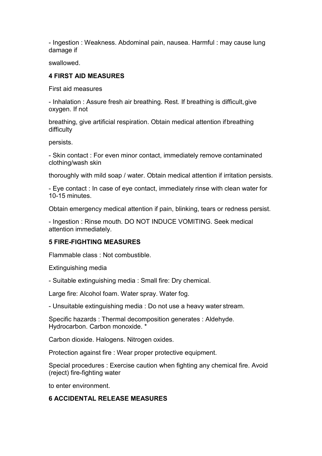- Ingestion : Weakness. Abdominal pain, nausea. Harmful : may cause lung damage if

swallowed.

## **4 FIRST AID MEASURES**

First aid measures

- Inhalation : Assure fresh air breathing. Rest. If breathing is difficult,give oxygen. If not

breathing, give artificial respiration. Obtain medical attention ifbreathing difficulty

persists.

- Skin contact : For even minor contact, immediately remove contaminated clothing/wash skin

thoroughly with mild soap / water. Obtain medical attention if irritation persists.

- Eye contact : In case of eye contact, immediately rinse with clean water for 10-15 minutes.

Obtain emergency medical attention if pain, blinking, tears or redness persist.

- Ingestion : Rinse mouth. DO NOT INDUCE VOMITING. Seek medical attention immediately.

## **5 FIRE-FIGHTING MEASURES**

Flammable class : Not combustible.

Extinguishing media

- Suitable extinguishing media : Small fire: Dry chemical.

Large fire: Alcohol foam. Water spray. Water fog.

- Unsuitable extinguishing media : Do not use a heavy water stream.

Specific hazards : Thermal decomposition generates : Aldehyde. Hydrocarbon. Carbon monoxide. \*

Carbon dioxide. Halogens. Nitrogen oxides.

Protection against fire : Wear proper protective equipment.

Special procedures : Exercise caution when fighting any chemical fire. Avoid (reject) fire-fighting water

to enter environment.

## **6 ACCIDENTAL RELEASE MEASURES**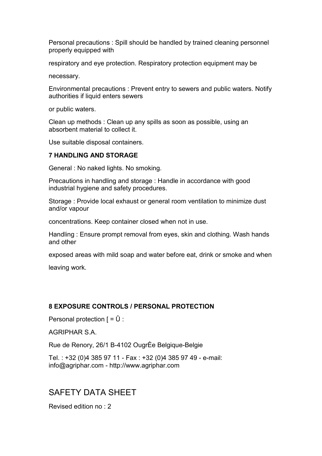Personal precautions : Spill should be handled by trained cleaning personnel properly equipped with

respiratory and eye protection. Respiratory protection equipment may be

necessary.

Environmental precautions : Prevent entry to sewers and public waters. Notify authorities if liquid enters sewers

or public waters.

Clean up methods : Clean up any spills as soon as possible, using an absorbent material to collect it.

Use suitable disposal containers.

#### **7 HANDLING AND STORAGE**

General : No naked lights. No smoking.

Precautions in handling and storage : Handle in accordance with good industrial hygiene and safety procedures.

Storage : Provide local exhaust or general room ventilation to minimize dust and/or vapour

concentrations. Keep container closed when not in use.

Handling : Ensure prompt removal from eyes, skin and clothing. Wash hands and other

exposed areas with mild soap and water before eat, drink or smoke and when

leaving work.

#### **8 EXPOSURE CONTROLS / PERSONAL PROTECTION**

Personal protection  $\mathsf{F} = \mathsf{U}$  :

AGRIPHAR S.A.

Rue de Renory, 26/1 B-4102 OugrÈe Belgique-Belgie

Tel. : +32 (0)4 385 97 11 - Fax : +32 (0)4 385 97 49 - e-mail: [info@agriphar.com -](mailto:info@agriphar.com) [http://www.agriphar.com](http://www.agriphar.com/)

## SAFETY DATA SHEET

Revised edition no : 2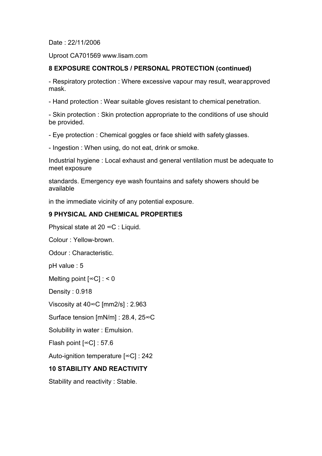Date : 22/11/2006

Uproot CA701569 [www.lisam.com](http://www.lisam.com/)

#### **8 EXPOSURE CONTROLS / PERSONAL PROTECTION (continued)**

- Respiratory protection : Where excessive vapour may result, wearapproved mask.

- Hand protection : Wear suitable gloves resistant to chemical penetration.

- Skin protection : Skin protection appropriate to the conditions of use should be provided.

- Eye protection : Chemical goggles or face shield with safety glasses.

- Ingestion : When using, do not eat, drink or smoke.

Industrial hygiene : Local exhaust and general ventilation must be adequate to meet exposure

standards. Emergency eye wash fountains and safety showers should be available

in the immediate vicinity of any potential exposure.

#### **9 PHYSICAL AND CHEMICAL PROPERTIES**

Physical state at 20 ∞C : Liquid.

Colour : Yellow-brown.

Odour : Characteristic.

pH value : 5

Melting point  $[\infty C] : 0$ 

Density : 0.918

Viscosity at 40∞C [mm2/s] : 2.963

Surface tension [mN/m] : 28.4, 25∞C

Solubility in water : Emulsion.

Flash point [∞C] : 57.6

Auto-ignition temperature [∞C] : 242

#### **10 STABILITY AND REACTIVITY**

Stability and reactivity : Stable.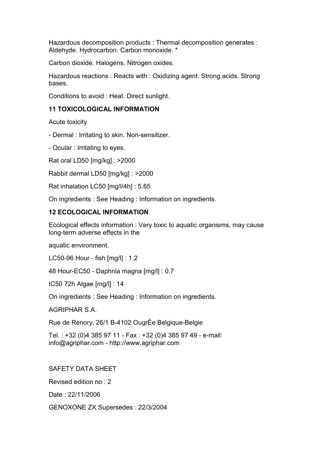Hazardous decomposition products : Thermal decomposition generates : Aldehyde. Hydrocarbon. Carbon monoxide. \*

Carbon dioxide. Halogens. Nitrogen oxides.

Hazardous reactions : Reacts with : Oxidizing agent. Strong acids. Strong bases.

Conditions to avoid : Heat. Direct sunlight.

#### **11 TOXICOLOGICAL INFORMATION**

Acute toxicity

- Dermal : Irritating to skin. Non-sensitizer.

- Ocular : Irritating to eyes.

Rat oral LD50 [mg/kg] : >2000

Rabbit dermal LD50 [mg/kg] : >2000

Rat inhalation LC50 [mg/l/4h] : 5.65

On ingredients : See Heading : Information on ingredients.

#### **12 ECOLOGICAL INFORMATION**

Ecological effects information : Very toxic to aquatic organisms, may cause long-term adverse effects in the

aquatic environment.

LC50-96 Hour - fish [mg/l] : 1.2

48 Hour-EC50 - Daphnia magna [mg/l] : 0.7

IC50 72h Algae [mg/l] : 14

On ingredients : See Heading : Information on ingredients.

AGRIPHAR S.A.

Rue de Renory, 26/1 B-4102 OugrÈe Belgique-Belgie

Tel. : +32 (0)4 385 97 11 - Fax : +32 (0)4 385 97 49 - e-mail: [info@agriphar.com -](mailto:info@agriphar.com) [http://www.agriphar.com](http://www.agriphar.com/)

SAFETY DATA SHEET

Revised edition no : 2

Date : 22/11/2006

GENOXONE ZX Supersedes : 22/3/2004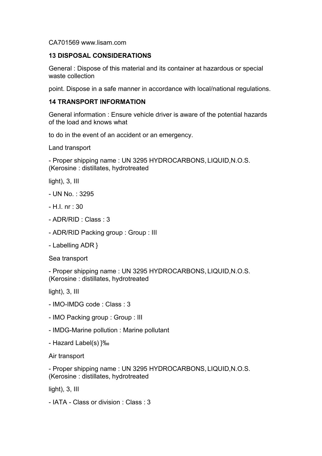CA701569 [www.lisam.com](http://www.lisam.com/)

#### **13 DISPOSAL CONSIDERATIONS**

General : Dispose of this material and its container at hazardous or special waste collection

point. Dispose in a safe manner in accordance with local/national regulations.

#### **14 TRANSPORT INFORMATION**

General information : Ensure vehicle driver is aware of the potential hazards of the load and knows what

to do in the event of an accident or an emergency.

Land transport

- Proper shipping name : UN 3295 HYDROCARBONS, LIQUID,N.O.S. (Kerosine : distillates, hydrotreated

light), 3, III

- UN No. : 3295
- H.I. nr : 30
- ADR/RID : Class : 3
- ADR/RID Packing group : Group : III
- Labelling ADR }

Sea transport

- Proper shipping name : UN 3295 HYDROCARBONS, LIQUID,N.O.S. (Kerosine : distillates, hydrotreated

light), 3, III

- IMO-IMDG code : Class : 3
- IMO Packing group : Group : III
- IMDG-Marine pollution : Marine pollutant
- Hazard Label(s) }‰

Air transport

- Proper shipping name : UN 3295 HYDROCARBONS, LIQUID,N.O.S. (Kerosine : distillates, hydrotreated

light), 3, III

- IATA - Class or division : Class : 3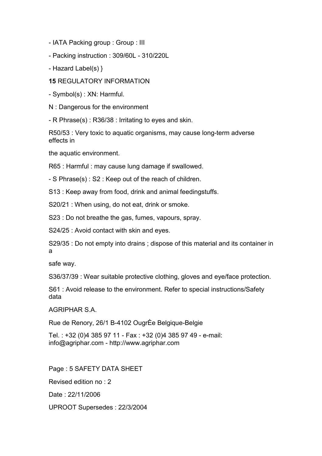- IATA Packing group : Group : III

- Packing instruction : 309/60L - 310/220L

- Hazard Label(s) }

**15** REGULATORY INFORMATION

- Symbol(s) : XN: Harmful.

N : Dangerous for the environment

- R Phrase(s) : R36/38 : Irritating to eyes and skin.

R50/53 : Very toxic to aquatic organisms, may cause long-term adverse effects in

the aquatic environment.

R65 : Harmful : may cause lung damage if swallowed.

- S Phrase(s) : S2 : Keep out of the reach of children.

S13 : Keep away from food, drink and animal feedingstuffs.

S20/21 : When using, do not eat, drink or smoke.

S23 : Do not breathe the gas, fumes, vapours, spray.

S24/25 : Avoid contact with skin and eyes.

S29/35 : Do not empty into drains ; dispose of this material and its container in a

safe way.

S36/37/39 : Wear suitable protective clothing, gloves and eye/face protection.

S61 : Avoid release to the environment. Refer to special instructions/Safety data

#### AGRIPHAR S.A.

Rue de Renory, 26/1 B-4102 OugrÈe Belgique-Belgie

Tel. : +32 (0)4 385 97 11 - Fax : +32 (0)4 385 97 49 - e-mail: [info@agriphar.com -](mailto:info@agriphar.com) [http://www.agriphar.com](http://www.agriphar.com/)

Page : 5 SAFETY DATA SHEET Revised edition no : 2 Date : 22/11/2006 UPROOT Supersedes : 22/3/2004